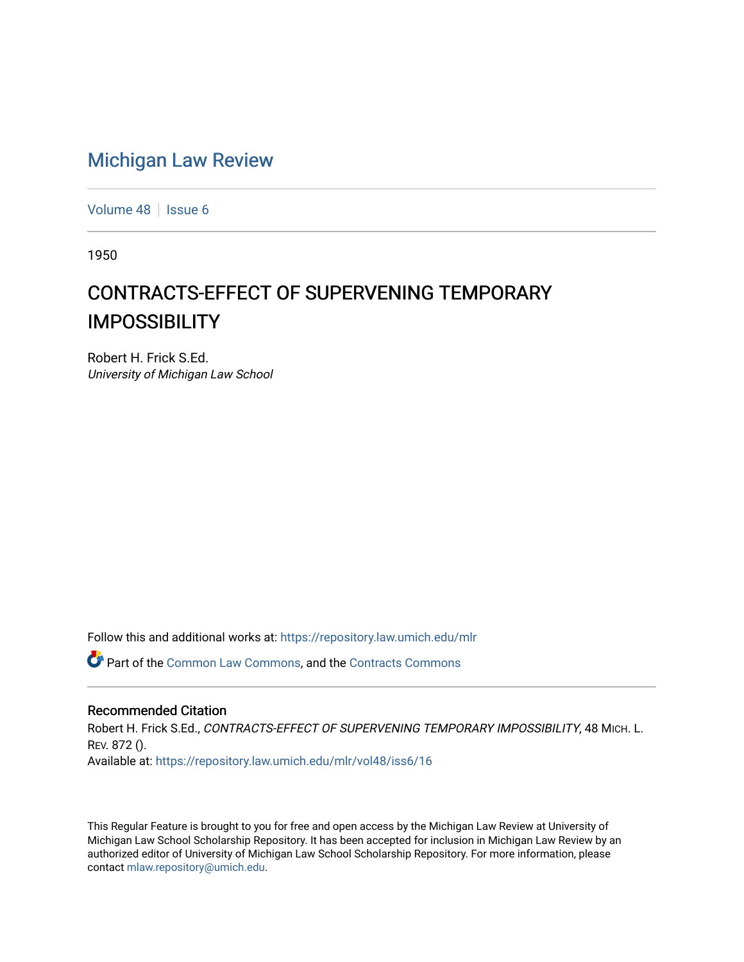## [Michigan Law Review](https://repository.law.umich.edu/mlr)

[Volume 48](https://repository.law.umich.edu/mlr/vol48) | [Issue 6](https://repository.law.umich.edu/mlr/vol48/iss6)

1950

## CONTRACTS-EFFECT OF SUPERVENING TEMPORARY IMPOSSIBILITY

Robert H. Frick S.Ed. University of Michigan Law School

Follow this and additional works at: [https://repository.law.umich.edu/mlr](https://repository.law.umich.edu/mlr?utm_source=repository.law.umich.edu%2Fmlr%2Fvol48%2Fiss6%2F16&utm_medium=PDF&utm_campaign=PDFCoverPages) 

Part of the [Common Law Commons,](http://network.bepress.com/hgg/discipline/1120?utm_source=repository.law.umich.edu%2Fmlr%2Fvol48%2Fiss6%2F16&utm_medium=PDF&utm_campaign=PDFCoverPages) and the [Contracts Commons](http://network.bepress.com/hgg/discipline/591?utm_source=repository.law.umich.edu%2Fmlr%2Fvol48%2Fiss6%2F16&utm_medium=PDF&utm_campaign=PDFCoverPages) 

## Recommended Citation

Robert H. Frick S.Ed., CONTRACTS-EFFECT OF SUPERVENING TEMPORARY IMPOSSIBILITY, 48 MICH. L. REV. 872 (). Available at: [https://repository.law.umich.edu/mlr/vol48/iss6/16](https://repository.law.umich.edu/mlr/vol48/iss6/16?utm_source=repository.law.umich.edu%2Fmlr%2Fvol48%2Fiss6%2F16&utm_medium=PDF&utm_campaign=PDFCoverPages) 

This Regular Feature is brought to you for free and open access by the Michigan Law Review at University of Michigan Law School Scholarship Repository. It has been accepted for inclusion in Michigan Law Review by an authorized editor of University of Michigan Law School Scholarship Repository. For more information, please contact [mlaw.repository@umich.edu](mailto:mlaw.repository@umich.edu).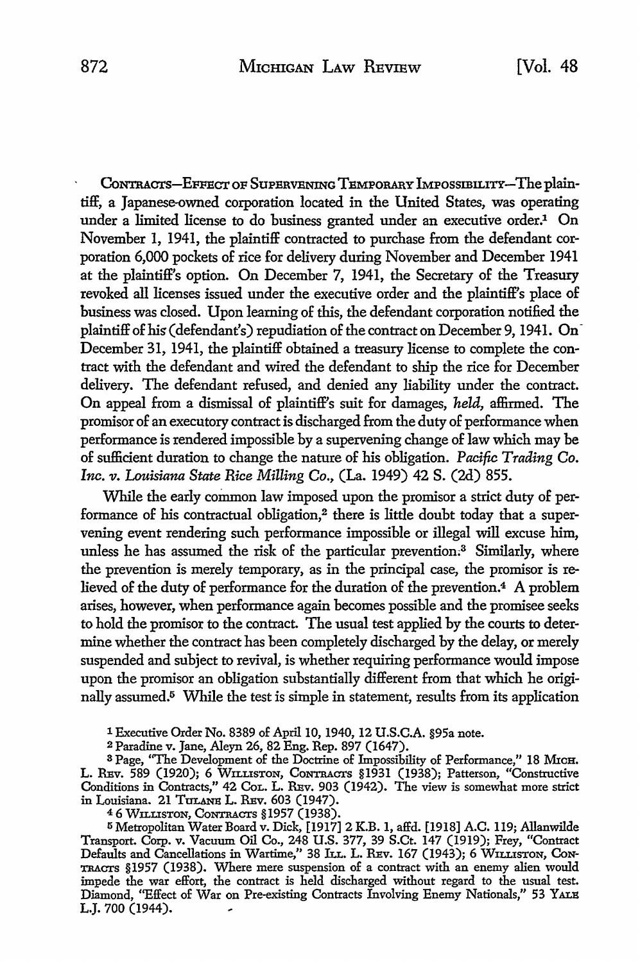CONTRACTS-EFFECT OF SUPERVENING TEMPORARY IMPOSSIBILITY-The plaintiff, a Japanese-owned corporation located in the United States, was operating under a limited license to do business granted under an executive order.<sup>1</sup> On November 1, 1941, the plaintiff contracted to purchase from the defendant corporation 6,000 pockets of rice for delivery during November and December 1941 at the plaintiff's option. On December 7, 1941, the Secretary of the Treasury revoked all licenses issued under the executive order and the plaintiff's place of business was closed. Upon learning of this, the defendant corporation notified the plaintiff of his (defendant's) repudiation of the contract on December 9, 1941. On December 31, 1941, the plaintiff obtained a treasury license to complete the contract with the defendant and wired the defendant to ship the rice for December delivery. The defendant refused, and denied any liability under the contract. **On** appeal from a dismissal of plaintiff's suit for damages, *held,* affirmed. The promisor of an executory contract is discharged from the duty of performance when performance is rendered impossible by a supervening change of law which may be of sufficient duration to change the nature of his obligation. *Pacific Trading Co. Inc. v. Louisiana State Rice Milling* Co., (La. 1949) 42 S. (2d) 855.

While the early common law imposed upon the promisor a strict duty of performance of his contractual obligation,<sup>2</sup> there is little doubt today that a supervening event rendering such performance impossible or illegal will excuse him, unless he has assumed the risk of the particular prevention.<sup>3</sup> Similarly, where the prevention is merely temporary, as in the principal case, the promisor is relieved of the duty of performance for the duration of the prevention.4 A problem arises, however, when performance again becomes possible and the promisee seeks to hold the promisor to the contract. The usual test applied by the courts to determine whether the contract has been completely discharged by the delay, or merely suspended and subject to revival, is whether requiring performance would impose upon the promisor an obligation substantially different from that which he originally assumed.5 While the test is simple in statement, results from its application

1 Executive Order No. 8389 of April 10, 1940, 12 U.S.C.A. §95a note.

2 Paradine v. Jane, Aleyn 26, 82 Eng. Rep. 897 (1647).

<sup>3</sup> Page, "The Development of the Doctrine of Impossibility of Performance," 18 MICH. L. REv. 589 (1920); 6 WILLISTON, CoNTRACTs §1931 (1938); Patterson, "Constructive Conditions in Contracts," 42 Col. L. REv. 903 (1942). The view is somewhat more strict in Louisiana. 21 TOLANB L. REv. 603 (1947).

<sup>4</sup>6 WILLISTON, CONTRACTS §1957 (1938).

<sup>5</sup>Metropolitan Water Board v. Dick, [1917] 2 K.B. **1,** affd. [1918] A.C. 119; Allanwilde Transport. Corp. v. Vacuum Oil Co., 248 U.S. 377, 39 S.Ct. 147 (1919); Frey, "Contract Defaults and Cancellations in Wartime," 38 Ju.. L. REv. 167 (1943); 6 WILLISTON, **CoN-**TRACTS §1957 (1938). Where mere suspension of a contract with an enemy alien would impede the war effort, the contract is held discharged without regard to the usual test. Diamond, "Effect of War on Pre-existing Contracts Involving Enemy Nationals,'' 53 YALB L.J. 700 (1944).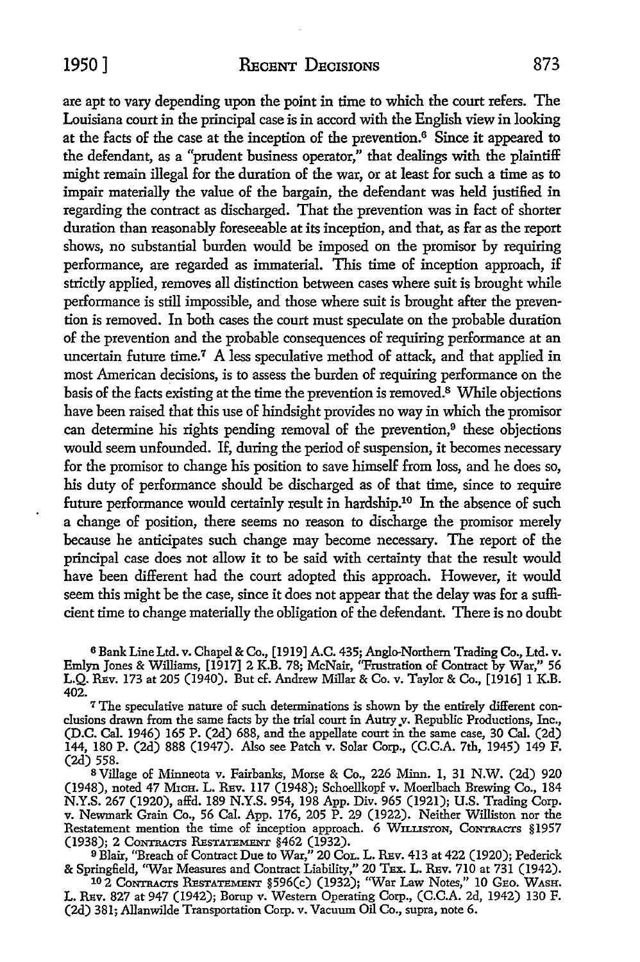are apt to vary depending upon the point in time to which the court refers. The Louisiana court in the principal case is in accord with the English view **in** looking at the facts of the case at the inception of the prevention.<sup>6</sup> Since it appeared to the defendant, as a "prudent business operator,'' that dealings with the plaintiff might remain illegal for the duration of the war, or at least for such a time as to impair materially the value of the bargain, the defendant was held justified in regarding the contract as discharged. That the prevention was in fact of shorter duration than reasonably foreseeable at its inception, and that, as far as the report shows, no substantial burden would be imposed on the promisor by requiring performance, are regarded as immaterial. This time of inception approach, if strictly applied, removes all distinction between cases where suit is brought while performance is still impossible, and those where suit is brought after the prevention is removed. In both cases the court must speculate on the probable duration of the prevention and the probable consequences of requiring performance at an uncertain future time.<sup>7</sup> A less speculative method of attack, and that applied in most American decisions, is to assess the burden of requiring performance on the basis of the facts existing at the time the prevention is removed.<sup>8</sup>While objections have been raised that this use of hindsight provides no way in which the promisor can determine his rights pending removal of the prevention, $9$  these objections would seem unfounded. If, during the period of suspension, it becomes necessary for the promisor to change his position to save himself from loss, and he does so, his duty of performance should be discharged as of that time, since to require future performance would certainly result in hardship.10 In the absence of such a change of position, there seems no reason to discharge the promisor merely because he anticipates such change may become necessary. The report of the principal case does not allow it to be said with certainty that the result would have been different had the court adopted this approach. However, it would seem this might be the case, since it does not appear that the delay was for a sufficient time to change materially the obligation of the defendant. There is no doubt

6 Bank Line Ltd. v. Chapel & Co., [1919] A.C. 435; Anglo-Northern Trading Co., Ltd. v. Emlyn Jones & Williams, [1917] 2 K.B. 78; McNair, ''Frustration of Contract by War," 56 L.Q. REv. 173 at 205 (1940). But cf. Andrew Millar & Co. v. Taylor & Co., [1916] 1 K.B. 402.

7 The speculative nature of such determinations is shown by the entirely different conclusions drawn from the same facts by the trial court in Autry v. Republic Productions, Inc., (D.C. Cal. 1946) 165 P. (2d) 688, and the appellate court in the same case, 30 Cal. (2d) 144, 180 P. (2d) 888 (1947). Also see Patch v. Solar Corp., (C.C.A. 7th, 1945) 149 F. (2d) 558.

<sup>8</sup>Village of Minneota v. Fairbanks, Morse & Co., 226 Minn. 1, 31 N.W. (2d) 920 (1948), noted 47 M1cH. L. REv. 117 (1948); Schoellkopf v. Moerlbach Brewing Co., 184 N.Y.S. 267 (1920), alfd. 189 N.Y.S. 954, 198 App. Div. 965 (1921); U.S. Trading Corp. v. Newmark Grain Co., 56 Cal. App. 176, 205 P. 29 (1922). Neither Williston nor the Restatement mention the time of inception approach. 6 WILLISTON, CONTRACTS §1957 (1938); 2 CONTRACTS RESTATEMENT §462 (1932).

<sup>9</sup>Blair, "Breach of Contract Due to War," 20 CoL. L. REv. 413 at 422 (1920); Pederick & Springfield, "War Measures and Contract Liability," 20 TEX. L. REv. 710 at 731 (1942).

102 CoNTRACTs REsTATEMENT §596(c) (1932); ''War Law Notes,'' 10 GEo. WASH. L. REv. 827 at 947 (1942); Borup v. Western Operating Corp., (C.C.A. 2d, 1942) 130 F. (2d) 381; Allanwilde Transportation Corp. v. Vacuum Oil Co., supra, note 6.